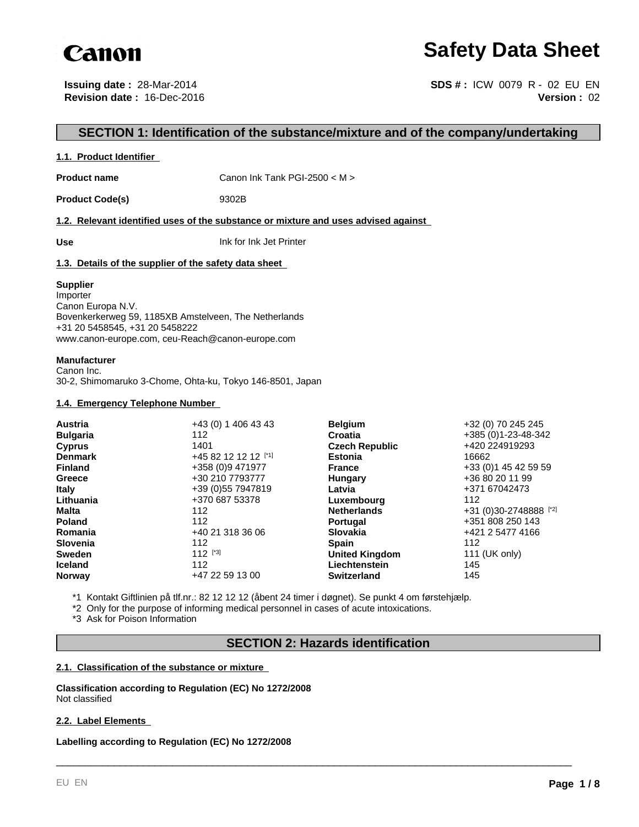

# **Safety Data Sheet**

**Issuing date :** 28-Mar-2014 **Revision date :** 16-Dec-2016

**Version :** 02 **SDS # :** ICW 0079 R - 02 EU EN

## **SECTION 1: Identification of the substance/mixture and of the company/undertaking**

## **1.1. Product Identifier**

**Product name** Canon Ink Tank PGI-2500 < M >

Product Code(s) 9302B

#### **1.2. Relevant identified uses of the substance or mixture and uses advised against**

**Use** Ink for Ink Jet Printer

## **1.3. Details of the supplier of the safety data sheet**

#### **Supplier**

Importer Canon Europa N.V. Bovenkerkerweg 59, 1185XB Amstelveen, The Netherlands +31 20 5458545, +31 20 5458222 www.canon-europe.com, ceu-Reach@canon-europe.com

#### **Manufacturer**

Canon Inc. 30-2, Shimomaruko 3-Chome, Ohta-ku, Tokyo 146-8501, Japan

## **1.4. Emergency Telephone Number**

| <b>Austria</b>  | +43 (0) 1 406 43 43 | <b>Belgium</b>        | +32 (0) 70 245 245     |
|-----------------|---------------------|-----------------------|------------------------|
| <b>Bulgaria</b> | 112                 | Croatia               | +385 (0)1-23-48-342    |
| <b>Cyprus</b>   | 1401                | <b>Czech Republic</b> | +420 224919293         |
| <b>Denmark</b>  | +45 82 12 12 12 [1] | <b>Estonia</b>        | 16662                  |
| <b>Finland</b>  | +358 (0)9 471977    | <b>France</b>         | +33 (0) 1 45 42 59 59  |
| Greece          | +30 210 7793777     | Hungary               | +36 80 20 11 99        |
| <b>Italy</b>    | +39 (0) 55 7947819  | Latvia                | +371 67042473          |
| Lithuania       | +370 687 53378      | Luxembourg            | 112                    |
| Malta           | 112                 | <b>Netherlands</b>    | +31 (0)30-2748888 [*2] |
| <b>Poland</b>   | 112                 | <b>Portugal</b>       | +351 808 250 143       |
| Romania         | +40 21 318 36 06    | <b>Slovakia</b>       | +421 2 5477 4166       |
| <b>Slovenia</b> | 112                 | <b>Spain</b>          | 112                    |
| <b>Sweden</b>   | $112$ [*3]          | <b>United Kingdom</b> | 111 (UK only)          |
| <b>Iceland</b>  | 112                 | Liechtenstein         | 145                    |
| <b>Norway</b>   | +47 22 59 13 00     | <b>Switzerland</b>    | 145                    |

\*1 Kontakt Giftlinien på tlf.nr.: 82 12 12 12 (åbent 24 timer i døgnet). Se punkt 4 om førstehjælp.

\*2 Only for the purpose of informing medical personnel in cases of acute intoxications.

\*3 Ask for Poison Information

## **SECTION 2: Hazards identification**

\_\_\_\_\_\_\_\_\_\_\_\_\_\_\_\_\_\_\_\_\_\_\_\_\_\_\_\_\_\_\_\_\_\_\_\_\_\_\_\_\_\_\_\_\_\_\_\_\_\_\_\_\_\_\_\_\_\_\_\_\_\_\_\_\_\_\_\_\_\_\_\_\_\_\_\_\_\_\_\_\_\_\_\_\_\_\_\_\_

## **2.1. Classification of the substance or mixture**

**Classification according to Regulation (EC) No 1272/2008** Not classified

## **2.2. Label Elements**

**Labelling according to Regulation (EC) No 1272/2008**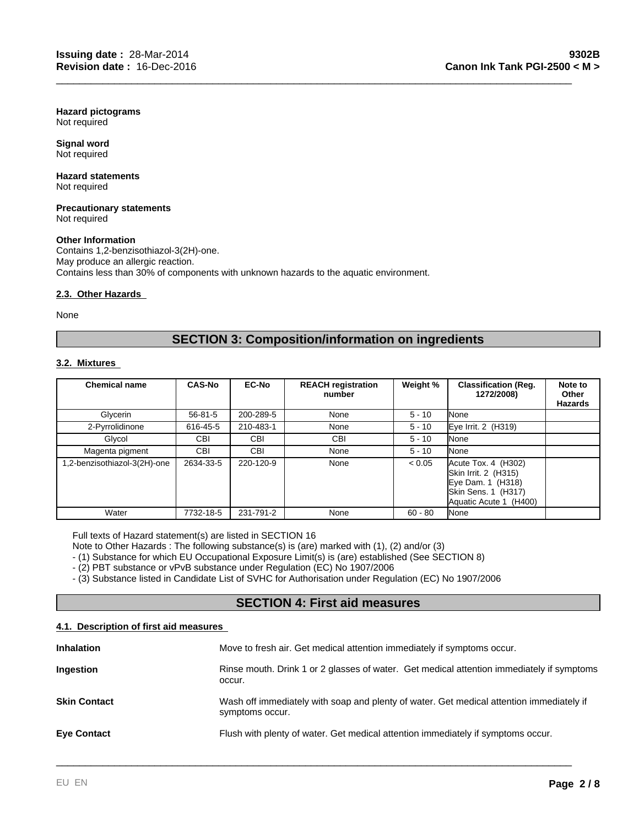**Hazard pictograms** Not required

**Signal word** Not required

#### **Hazard statements** Not required

**Precautionary statements** Not required

## **Other Information**

Contains 1,2-benzisothiazol-3(2H)-one. May produce an allergic reaction. Contains less than 30% of components with unknown hazards to the aquatic environment.

## **2.3. Other Hazards**

None

## **SECTION 3: Composition/information on ingredients**

\_\_\_\_\_\_\_\_\_\_\_\_\_\_\_\_\_\_\_\_\_\_\_\_\_\_\_\_\_\_\_\_\_\_\_\_\_\_\_\_\_\_\_\_\_\_\_\_\_\_\_\_\_\_\_\_\_\_\_\_\_\_\_\_\_\_\_\_\_\_\_\_\_\_\_\_\_\_\_\_\_\_\_\_\_\_\_\_\_

## **3.2. Mixtures**

| <b>Chemical name</b>        | <b>CAS-No</b> | <b>EC-No</b> | <b>REACH registration</b><br>number | Weight %  | <b>Classification (Req.</b><br>1272/2008)                                                                         | Note to<br>Other<br><b>Hazards</b> |
|-----------------------------|---------------|--------------|-------------------------------------|-----------|-------------------------------------------------------------------------------------------------------------------|------------------------------------|
| Glycerin                    | $56 - 81 - 5$ | 200-289-5    | None                                | $5 - 10$  | None                                                                                                              |                                    |
| 2-Pyrrolidinone             | 616-45-5      | 210-483-1    | None                                | $5 - 10$  | Eye Irrit. 2 (H319)                                                                                               |                                    |
| Glycol                      | <b>CBI</b>    | <b>CBI</b>   | CBI                                 | $5 - 10$  | None                                                                                                              |                                    |
| Magenta pigment             | <b>CBI</b>    | <b>CBI</b>   | None                                | $5 - 10$  | None                                                                                                              |                                    |
| .2-benzisothiazol-3(2H)-one | 2634-33-5     | 220-120-9    | None                                | < 0.05    | Acute Tox. 4 (H302)<br>Skin Irrit. 2 (H315)<br>Eye Dam. 1 (H318)<br>Skin Sens. 1 (H317)<br>Aquatic Acute 1 (H400) |                                    |
| Water                       | 7732-18-5     | 231-791-2    | None                                | $60 - 80$ | None                                                                                                              |                                    |

Full texts of Hazard statement(s) are listed in SECTION 16

Note to Other Hazards : The following substance(s) is (are) marked with (1), (2) and/or (3)

- (1) Substance for which EU Occupational Exposure Limit(s) is (are) established (See SECTION 8)

- (2) PBT substance or vPvB substance under Regulation (EC) No 1907/2006

- (3) Substance listed in Candidate List of SVHC for Authorisation under Regulation (EC) No 1907/2006

## **SECTION 4: First aid measures**

## **4.1. Description of first aid measures**

| Move to fresh air. Get medical attention immediately if symptoms occur.                                     |
|-------------------------------------------------------------------------------------------------------------|
| Rinse mouth. Drink 1 or 2 glasses of water. Get medical attention immediately if symptoms<br>occur.         |
| Wash off immediately with soap and plenty of water. Get medical attention immediately if<br>symptoms occur. |
| Flush with plenty of water. Get medical attention immediately if symptoms occur.                            |
|                                                                                                             |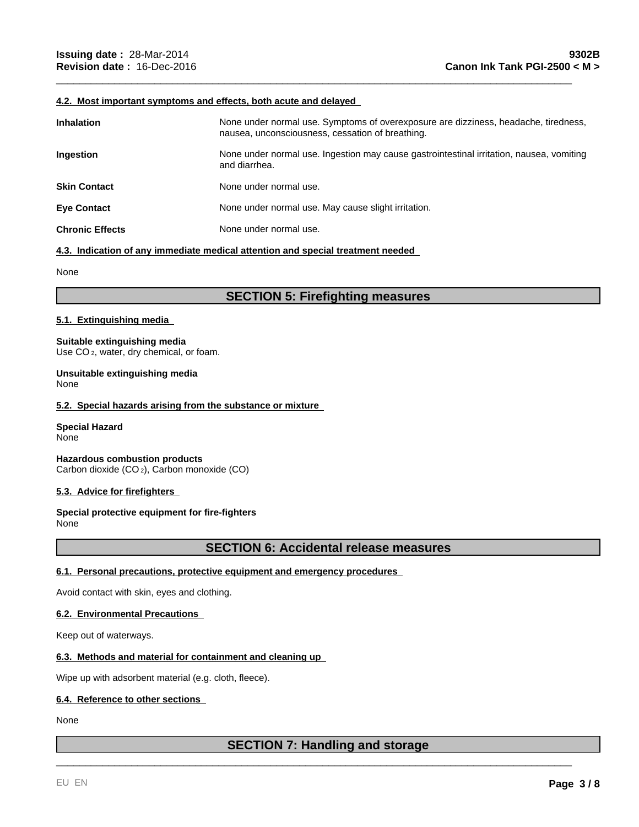## **4.2. Most important symptoms and effects, both acute and delayed**

| <b>Inhalation</b>      | None under normal use. Symptoms of overexposure are dizziness, headache, tiredness,<br>nausea, unconsciousness, cessation of breathing. |
|------------------------|-----------------------------------------------------------------------------------------------------------------------------------------|
| Ingestion              | None under normal use. Ingestion may cause gastrointestinal irritation, nausea, vomiting<br>and diarrhea.                               |
| <b>Skin Contact</b>    | None under normal use.                                                                                                                  |
| <b>Eve Contact</b>     | None under normal use. May cause slight irritation.                                                                                     |
| <b>Chronic Effects</b> | None under normal use.                                                                                                                  |

\_\_\_\_\_\_\_\_\_\_\_\_\_\_\_\_\_\_\_\_\_\_\_\_\_\_\_\_\_\_\_\_\_\_\_\_\_\_\_\_\_\_\_\_\_\_\_\_\_\_\_\_\_\_\_\_\_\_\_\_\_\_\_\_\_\_\_\_\_\_\_\_\_\_\_\_\_\_\_\_\_\_\_\_\_\_\_\_\_

#### **4.3. Indication of any immediate medical attention and special treatment needed**

None

## **SECTION 5: Firefighting measures**

#### **5.1. Extinguishing media**

**Suitable extinguishing media** Use CO<sub>2</sub>, water, dry chemical, or foam.

**Unsuitable extinguishing media** None

#### **5.2. Special hazards arising from the substance or mixture**

**Special Hazard** None

**Hazardous combustion products** Carbon dioxide (CO 2), Carbon monoxide (CO)

## **5.3. Advice for firefighters**

**Special protective equipment for fire-fighters** None

## **SECTION 6: Accidental release measures**

## **6.1. Personal precautions, protective equipment and emergency procedures**

Avoid contact with skin, eyes and clothing.

## **6.2. Environmental Precautions**

Keep out of waterways.

## **6.3. Methods and material for containment and cleaning up**

Wipe up with adsorbent material (e.g. cloth, fleece).

## **6.4. Reference to other sections**

None

## **SECTION 7: Handling and storage**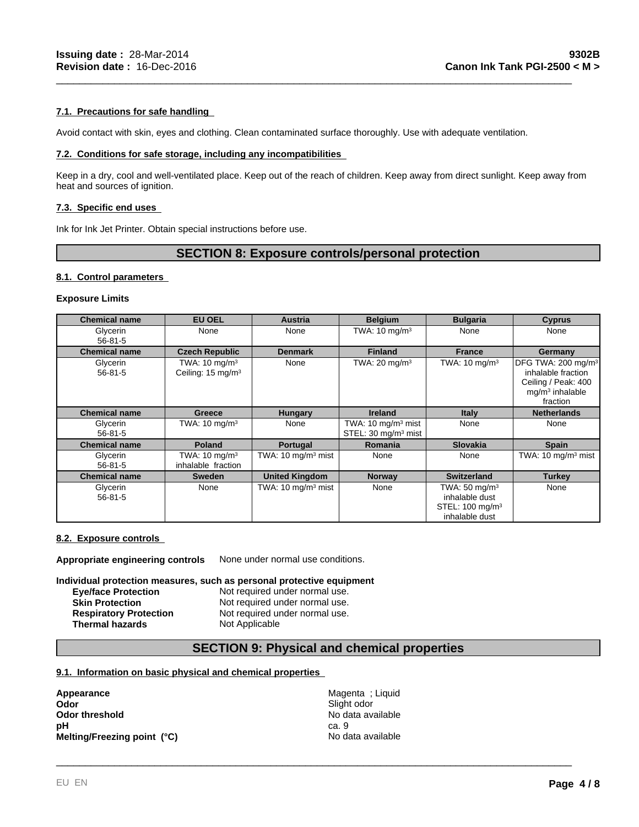## **7.1. Precautions for safe handling**

Avoid contact with skin, eyes and clothing. Clean contaminated surface thoroughly. Use with adequate ventilation.

#### **7.2. Conditions for safe storage, including any incompatibilities**

Keep in a dry, cool and well-ventilated place. Keep out of the reach of children. Keep away from direct sunlight. Keep away from heat and sources of ignition.

\_\_\_\_\_\_\_\_\_\_\_\_\_\_\_\_\_\_\_\_\_\_\_\_\_\_\_\_\_\_\_\_\_\_\_\_\_\_\_\_\_\_\_\_\_\_\_\_\_\_\_\_\_\_\_\_\_\_\_\_\_\_\_\_\_\_\_\_\_\_\_\_\_\_\_\_\_\_\_\_\_\_\_\_\_\_\_\_\_

## **7.3. Specific end uses**

Ink for Ink Jet Printer. Obtain special instructions before use.

## **SECTION 8: Exposure controls/personal protection**

#### **8.1. Control parameters**

## **Exposure Limits**

| <b>Chemical name</b>      | <b>EU OEL</b>                                             | <b>Austria</b>                 | <b>Belgium</b>                                                   | <b>Bulgaria</b>                                                                              | <b>Cyprus</b>                                                                                                |
|---------------------------|-----------------------------------------------------------|--------------------------------|------------------------------------------------------------------|----------------------------------------------------------------------------------------------|--------------------------------------------------------------------------------------------------------------|
| Glycerin<br>$56 - 81 - 5$ | None                                                      | None                           | TWA: $10 \text{ mg/m}^3$                                         | None                                                                                         | None                                                                                                         |
| <b>Chemical name</b>      | <b>Czech Republic</b>                                     | <b>Denmark</b>                 | <b>Finland</b>                                                   | <b>France</b>                                                                                | Germany                                                                                                      |
| Glycerin<br>$56 - 81 - 5$ | TWA: $10 \text{ mg/m}^3$<br>Ceiling: 15 mg/m <sup>3</sup> | None                           | TWA: $20 \text{ mg/m}^3$                                         | TWA: $10 \text{ mg/m}^3$                                                                     | DFG TWA: 200 mg/m <sup>3</sup><br>inhalable fraction<br>Ceiling / Peak: 400<br>$mq/m3$ inhalable<br>fraction |
| <b>Chemical name</b>      | Greece                                                    | <b>Hungary</b>                 | <b>Ireland</b>                                                   | <b>Italy</b>                                                                                 | <b>Netherlands</b>                                                                                           |
| Glycerin<br>$56 - 81 - 5$ | TWA: $10 \text{ mg/m}^3$                                  | None                           | TWA: $10 \text{ mg/m}^3$ mist<br>STEL: 30 mg/m <sup>3</sup> mist | None                                                                                         | None                                                                                                         |
| <b>Chemical name</b>      | <b>Poland</b>                                             | <b>Portugal</b>                | Romania                                                          | <b>Slovakia</b>                                                                              | <b>Spain</b>                                                                                                 |
| Glycerin<br>$56 - 81 - 5$ | TWA: $10 \text{ mg/m}^3$<br>inhalable fraction            | TWA: $10 \text{ mg/m}^3$ mist  | None                                                             | None                                                                                         | TWA: $10 \text{ mg/m}^3$ mist                                                                                |
| <b>Chemical name</b>      | <b>Sweden</b>                                             | <b>United Kingdom</b>          | <b>Norway</b>                                                    | <b>Switzerland</b>                                                                           | Turkey                                                                                                       |
| Glycerin<br>$56 - 81 - 5$ | None                                                      | TWA: 10 mg/m <sup>3</sup> mist | None                                                             | TWA: 50 mg/m <sup>3</sup><br>inhalable dust<br>STEL: 100 mg/m <sup>3</sup><br>inhalable dust | None                                                                                                         |

#### **8.2. Exposure controls**

**Appropriate engineering controls** None under normal use conditions.

## **Individual protection measures, such as personal protective equipment**

**Eye/face Protection Not required under normal use.**<br> **Skin Protection Not required under normal use.** Not required under normal use. **Respiratory Protection** Not required under normal use. **Thermal hazards** Not Applicable

## **SECTION 9: Physical and chemical properties**

## **9.1. Information on basic physical and chemical properties**

**Appearance** Magenta ; Liquid **Odor** Slight odor<br> **Odor threshold** Contact Contact Contact Contact Contact Contact Contact Contact Contact Contact Contact Contact Contact Contact Contact Contact Contact Contact Contact Contact Contact Contact Contact C **Odor threshold pH** ca. 9 \_\_\_\_\_\_\_\_\_\_\_\_\_\_\_\_\_\_\_\_\_\_\_\_\_\_\_\_\_\_\_\_\_\_\_\_\_\_\_\_\_\_\_\_\_\_\_\_\_\_\_\_\_\_\_\_\_\_\_\_\_\_\_\_\_\_\_\_\_\_\_\_\_\_\_\_\_\_\_\_\_\_\_\_\_\_\_\_\_ **Melting/Freezing point (°C)** No data available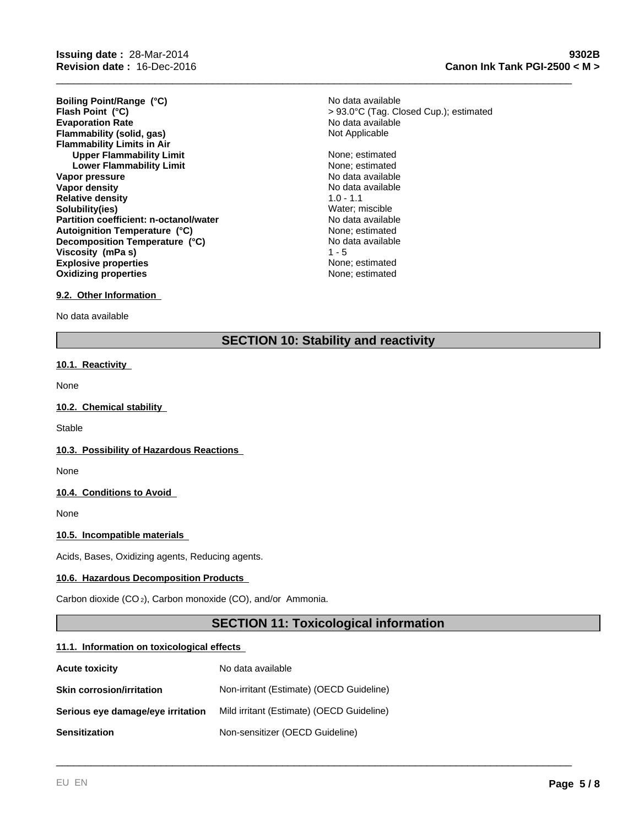**Evaporation Rate Evaporation Rate** No data available **Flammability (solid, gas)** No data available **Flammability (solid, gas) Flammability Limits in Air Upper Flammability Limit** None; estimated None; estimated None; estimated None; estimated None; estimated None; estimated None; estimated None; estimated None; estimated None; estimated None; estimated None; estimated Non **Lower Flammability Limit Vapor pressure** No data available No data available **Vapor density**  $\blacksquare$  No data available **Relative density** 1.0 - 1.1 **Solubility(ies)** Water; miscible **Partition coefficient: n-octanol/water** No data available **Explosive properties None**; estimated **Oxidizing properties None; estimated None; estimated Decomposition Temperature (°C) Flash Point (°C) Viscosity (mPa s) Boiling Point/Range (°C) Autoignition Temperature (°C)**

None; estimated No data available > 93.0°C (Tag. Closed Cup.); estimated No data available

\_\_\_\_\_\_\_\_\_\_\_\_\_\_\_\_\_\_\_\_\_\_\_\_\_\_\_\_\_\_\_\_\_\_\_\_\_\_\_\_\_\_\_\_\_\_\_\_\_\_\_\_\_\_\_\_\_\_\_\_\_\_\_\_\_\_\_\_\_\_\_\_\_\_\_\_\_\_\_\_\_\_\_\_\_\_\_\_\_

## **9.2. Other Information**

No data available

## **SECTION 10: Stability and reactivity**

 $1 - 5$ 

## **10.1. Reactivity**

None

#### **10.2. Chemical stability**

**Stable** 

#### **10.3. Possibility of Hazardous Reactions**

None

#### **10.4. Conditions to Avoid**

None

## **10.5. Incompatible materials**

Acids, Bases, Oxidizing agents, Reducing agents.

#### **10.6. Hazardous Decomposition Products**

Carbon dioxide (CO 2), Carbon monoxide (CO), and/or Ammonia.

## **SECTION 11: Toxicological information**

\_\_\_\_\_\_\_\_\_\_\_\_\_\_\_\_\_\_\_\_\_\_\_\_\_\_\_\_\_\_\_\_\_\_\_\_\_\_\_\_\_\_\_\_\_\_\_\_\_\_\_\_\_\_\_\_\_\_\_\_\_\_\_\_\_\_\_\_\_\_\_\_\_\_\_\_\_\_\_\_\_\_\_\_\_\_\_\_\_

#### **11.1. Information on toxicological effects**

| <b>Acute toxicity</b>             | No data available                         |
|-----------------------------------|-------------------------------------------|
| <b>Skin corrosion/irritation</b>  | Non-irritant (Estimate) (OECD Guideline)  |
| Serious eye damage/eye irritation | Mild irritant (Estimate) (OECD Guideline) |
| <b>Sensitization</b>              | Non-sensitizer (OECD Guideline)           |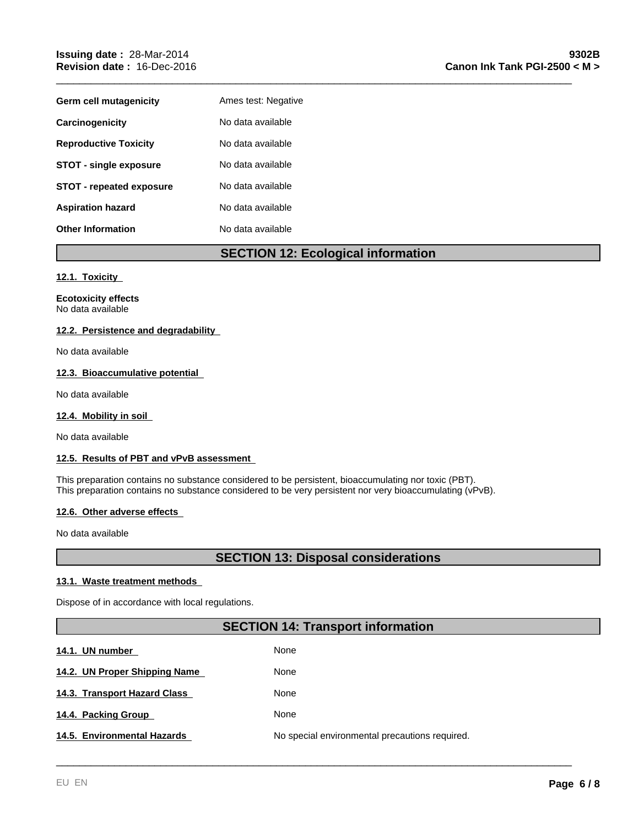| Germ cell mutagenicity          | Ames test: Negative |
|---------------------------------|---------------------|
| Carcinogenicity                 | No data available   |
| <b>Reproductive Toxicity</b>    | No data available   |
| <b>STOT - single exposure</b>   | No data available   |
| <b>STOT - repeated exposure</b> | No data available   |
| <b>Aspiration hazard</b>        | No data available   |
| <b>Other Information</b>        | No data available   |

## **SECTION 12: Ecological information**

\_\_\_\_\_\_\_\_\_\_\_\_\_\_\_\_\_\_\_\_\_\_\_\_\_\_\_\_\_\_\_\_\_\_\_\_\_\_\_\_\_\_\_\_\_\_\_\_\_\_\_\_\_\_\_\_\_\_\_\_\_\_\_\_\_\_\_\_\_\_\_\_\_\_\_\_\_\_\_\_\_\_\_\_\_\_\_\_\_

## **12.1. Toxicity**

**Ecotoxicity effects** No data available

## **12.2. Persistence and degradability**

No data available

## **12.3. Bioaccumulative potential**

No data available

## **12.4. Mobility in soil**

No data available

## **12.5. Results of PBT and vPvB assessment**

This preparation contains no substance considered to be persistent, bioaccumulating nor toxic (PBT). This preparation contains no substance considered to be very persistent nor very bioaccumulating (vPvB).

## **12.6. Other adverse effects**

No data available

## **SECTION 13: Disposal considerations**

## **13.1. Waste treatment methods**

Dispose of in accordance with local regulations.

## **SECTION 14: Transport information**

| 14.1. UN number               | None                                           |
|-------------------------------|------------------------------------------------|
| 14.2. UN Proper Shipping Name | None                                           |
| 14.3. Transport Hazard Class  | None                                           |
| 14.4. Packing Group           | None                                           |
| 14.5. Environmental Hazards   | No special environmental precautions required. |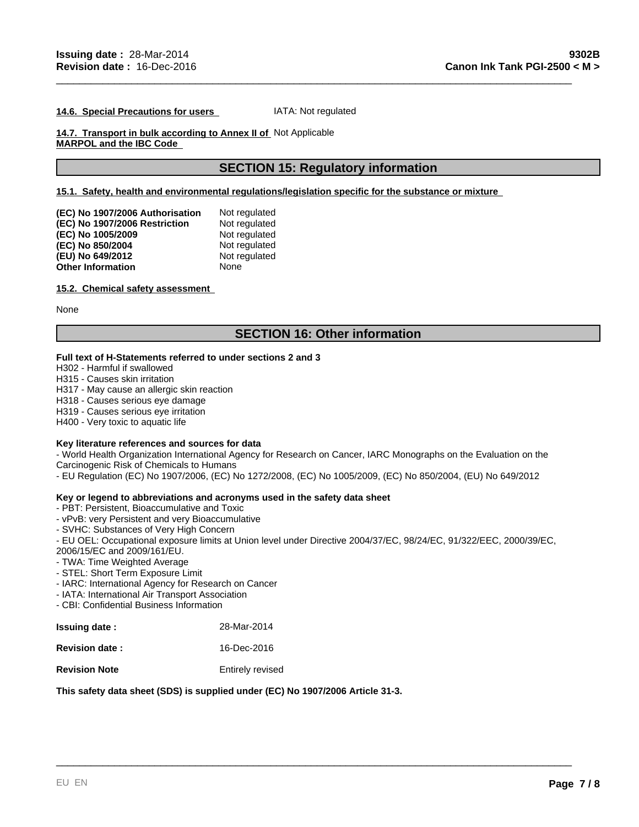#### **14.6. Special Precautions for users**  IATA: Not regulated

## **14.7. Transport in bulk according to Annex II of**  Not Applicable **MARPOL and the IBC Code**

## **SECTION 15: Regulatory information**

\_\_\_\_\_\_\_\_\_\_\_\_\_\_\_\_\_\_\_\_\_\_\_\_\_\_\_\_\_\_\_\_\_\_\_\_\_\_\_\_\_\_\_\_\_\_\_\_\_\_\_\_\_\_\_\_\_\_\_\_\_\_\_\_\_\_\_\_\_\_\_\_\_\_\_\_\_\_\_\_\_\_\_\_\_\_\_\_\_

## **15.1. Safety, health and environmental regulations/legislation specific for the substance or mixture**

| (EC) No 1907/2006 Authorisation | Not regulated |
|---------------------------------|---------------|
| (EC) No 1907/2006 Restriction   | Not regulated |
| (EC) No 1005/2009               | Not regulated |
| (EC) No 850/2004                | Not regulated |
| (EU) No 649/2012                | Not regulated |
| <b>Other Information</b>        | None          |

#### **15.2. Chemical safety assessment**

None

## **SECTION 16: Other information**

## **Full text of H-Statements referred to under sections 2 and 3**

H302 - Harmful if swallowed

H315 - Causes skin irritation

H317 - May cause an allergic skin reaction

H318 - Causes serious eye damage

H319 - Causes serious eye irritation

H400 - Very toxic to aquatic life

#### **Key literature references and sources for data**

- World Health Organization International Agency for Research on Cancer, IARC Monographs on the Evaluation on the Carcinogenic Risk of Chemicals to Humans

- EU Regulation (EC) No 1907/2006, (EC) No 1272/2008, (EC) No 1005/2009, (EC) No 850/2004, (EU) No 649/2012

## **Key or legend to abbreviations and acronyms used in the safety data sheet**

- PBT: Persistent, Bioaccumulative and Toxic

- vPvB: very Persistent and very Bioaccumulative
- SVHC: Substances of Very High Concern

- EU OEL: Occupational exposure limits at Union level under Directive 2004/37/EC, 98/24/EC, 91/322/EEC, 2000/39/EC,

\_\_\_\_\_\_\_\_\_\_\_\_\_\_\_\_\_\_\_\_\_\_\_\_\_\_\_\_\_\_\_\_\_\_\_\_\_\_\_\_\_\_\_\_\_\_\_\_\_\_\_\_\_\_\_\_\_\_\_\_\_\_\_\_\_\_\_\_\_\_\_\_\_\_\_\_\_\_\_\_\_\_\_\_\_\_\_\_\_

2006/15/EC and 2009/161/EU.

- TWA: Time Weighted Average

- STEL: Short Term Exposure Limit

- IARC: International Agency for Research on Cancer
- IATA: International Air Transport Association

- CBI: Confidential Business Information

| <b>Issuing date:</b>  | 28-Mar-2014      |
|-----------------------|------------------|
| <b>Revision date:</b> | 16-Dec-2016      |
| <b>Revision Note</b>  | Entirely revised |

## **This safety data sheet (SDS) is supplied under (EC) No 1907/2006 Article 31-3.**